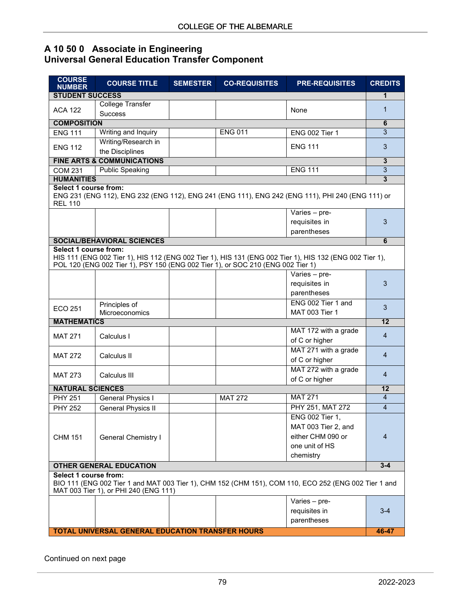## **A 10 50 0 Associate in Engineering Universal General Education Transfer Component**

| <b>COURSE</b><br><b>NUMBER</b>                                                                                                                                         | <b>COURSE TITLE</b>                                                             | <b>SEMESTER</b> | <b>CO-REQUISITES</b> | <b>PRE-REQUISITES</b>                                                                                   | <b>CREDITS</b>      |  |
|------------------------------------------------------------------------------------------------------------------------------------------------------------------------|---------------------------------------------------------------------------------|-----------------|----------------------|---------------------------------------------------------------------------------------------------------|---------------------|--|
| <b>STUDENT SUCCESS</b>                                                                                                                                                 |                                                                                 |                 |                      |                                                                                                         | 1                   |  |
| <b>ACA 122</b>                                                                                                                                                         | <b>College Transfer</b><br>None                                                 |                 |                      | 1                                                                                                       |                     |  |
|                                                                                                                                                                        | <b>Success</b>                                                                  |                 |                      |                                                                                                         |                     |  |
| <b>COMPOSITION</b>                                                                                                                                                     |                                                                                 |                 |                      |                                                                                                         |                     |  |
| <b>ENG 111</b>                                                                                                                                                         | Writing and Inquiry                                                             |                 | <b>ENG 011</b>       | <b>ENG 002 Tier 1</b>                                                                                   | 3                   |  |
| <b>ENG 112</b>                                                                                                                                                         | Writing/Research in                                                             |                 |                      | <b>ENG 111</b>                                                                                          | 3                   |  |
|                                                                                                                                                                        | the Disciplines                                                                 |                 |                      |                                                                                                         |                     |  |
|                                                                                                                                                                        | <b>FINE ARTS &amp; COMMUNICATIONS</b>                                           |                 |                      |                                                                                                         | $\mathbf{3}$        |  |
| <b>COM 231</b>                                                                                                                                                         | <b>Public Speaking</b>                                                          |                 |                      | <b>ENG 111</b>                                                                                          | $\overline{3}$<br>3 |  |
| <b>HUMANITIES</b>                                                                                                                                                      |                                                                                 |                 |                      |                                                                                                         |                     |  |
| <b>Select 1 course from:</b><br>ENG 231 (ENG 112), ENG 232 (ENG 112), ENG 241 (ENG 111), ENG 242 (ENG 111), PHI 240 (ENG 111) or<br><b>REL 110</b>                     |                                                                                 |                 |                      |                                                                                                         |                     |  |
|                                                                                                                                                                        |                                                                                 |                 |                      | Varies - pre-                                                                                           |                     |  |
|                                                                                                                                                                        |                                                                                 |                 |                      | requisites in                                                                                           | 3                   |  |
|                                                                                                                                                                        |                                                                                 |                 |                      | parentheses                                                                                             |                     |  |
|                                                                                                                                                                        | <b>SOCIAL/BEHAVIORAL SCIENCES</b>                                               |                 |                      |                                                                                                         | 6                   |  |
| Select 1 course from:                                                                                                                                                  |                                                                                 |                 |                      |                                                                                                         |                     |  |
|                                                                                                                                                                        | POL 120 (ENG 002 Tier 1), PSY 150 (ENG 002 Tier 1), or SOC 210 (ENG 002 Tier 1) |                 |                      | HIS 111 (ENG 002 Tier 1), HIS 112 (ENG 002 Tier 1), HIS 131 (ENG 002 Tier 1), HIS 132 (ENG 002 Tier 1), |                     |  |
|                                                                                                                                                                        |                                                                                 |                 |                      | Varies - pre-                                                                                           |                     |  |
|                                                                                                                                                                        |                                                                                 |                 |                      | requisites in                                                                                           | 3                   |  |
|                                                                                                                                                                        |                                                                                 |                 |                      | parentheses                                                                                             |                     |  |
| ECO 251                                                                                                                                                                | Principles of                                                                   |                 |                      | ENG 002 Tier 1 and                                                                                      | 3                   |  |
|                                                                                                                                                                        | Microeconomics                                                                  |                 |                      | MAT 003 Tier 1                                                                                          |                     |  |
| <b>MATHEMATICS</b>                                                                                                                                                     |                                                                                 |                 |                      |                                                                                                         | $\overline{12}$     |  |
| <b>MAT 271</b>                                                                                                                                                         | Calculus I                                                                      |                 |                      | MAT 172 with a grade                                                                                    | $\overline{4}$      |  |
|                                                                                                                                                                        |                                                                                 |                 |                      | of C or higher                                                                                          |                     |  |
| <b>MAT 272</b>                                                                                                                                                         | Calculus II                                                                     |                 |                      | MAT 271 with a grade                                                                                    | 4                   |  |
|                                                                                                                                                                        |                                                                                 |                 |                      | of C or higher                                                                                          |                     |  |
| <b>MAT 273</b>                                                                                                                                                         | Calculus III                                                                    |                 |                      | MAT 272 with a grade                                                                                    | 4                   |  |
|                                                                                                                                                                        |                                                                                 |                 |                      | of C or higher                                                                                          |                     |  |
| <b>NATURAL SCIENCES</b>                                                                                                                                                |                                                                                 |                 |                      |                                                                                                         | 12                  |  |
| <b>PHY 251</b>                                                                                                                                                         | <b>General Physics I</b>                                                        |                 | <b>MAT 272</b>       | <b>MAT 271</b>                                                                                          | $\overline{4}$      |  |
| <b>PHY 252</b>                                                                                                                                                         | <b>General Physics II</b>                                                       |                 |                      | PHY 251, MAT 272                                                                                        | $\overline{4}$      |  |
|                                                                                                                                                                        |                                                                                 |                 |                      | ENG 002 Tier 1,                                                                                         |                     |  |
|                                                                                                                                                                        |                                                                                 |                 |                      | MAT 003 Tier 2, and                                                                                     |                     |  |
| <b>CHM 151</b>                                                                                                                                                         | <b>General Chemistry I</b>                                                      |                 |                      | either CHM 090 or                                                                                       | 4                   |  |
|                                                                                                                                                                        |                                                                                 |                 |                      | one unit of HS                                                                                          |                     |  |
|                                                                                                                                                                        |                                                                                 |                 |                      | chemistry                                                                                               | $3 - 4$             |  |
| <b>OTHER GENERAL EDUCATION</b>                                                                                                                                         |                                                                                 |                 |                      |                                                                                                         |                     |  |
| Select 1 course from:<br>BIO 111 (ENG 002 Tier 1 and MAT 003 Tier 1), CHM 152 (CHM 151), COM 110, ECO 252 (ENG 002 Tier 1 and<br>MAT 003 Tier 1), or PHI 240 (ENG 111) |                                                                                 |                 |                      |                                                                                                         |                     |  |
|                                                                                                                                                                        |                                                                                 |                 |                      |                                                                                                         |                     |  |
|                                                                                                                                                                        |                                                                                 |                 |                      | Varies - pre-                                                                                           |                     |  |
|                                                                                                                                                                        |                                                                                 |                 |                      | requisites in                                                                                           | $3-4$               |  |
|                                                                                                                                                                        |                                                                                 |                 |                      | parentheses                                                                                             |                     |  |
|                                                                                                                                                                        | <b>TOTAL UNIVERSAL GENERAL EDUCATION TRANSFER HOURS</b>                         |                 |                      |                                                                                                         | 46-47               |  |

Continued on next page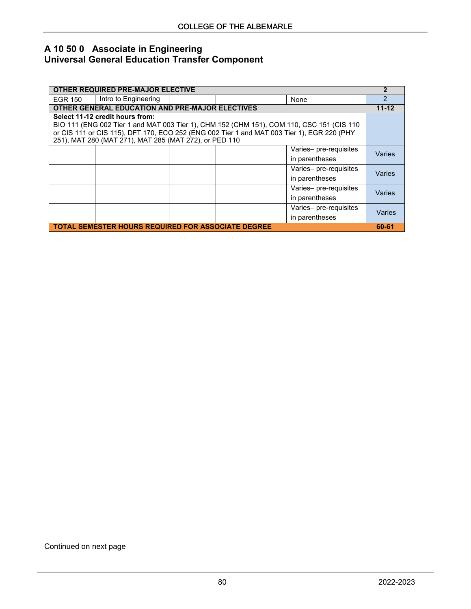## **A 10 50 0 Associate in Engineering Universal General Education Transfer Component**

| OTHER REQUIRED PRE-MAJOR ELECTIVE                                                          |                                 |  |  |                        | $\overline{2}$ |  |
|--------------------------------------------------------------------------------------------|---------------------------------|--|--|------------------------|----------------|--|
| EGR 150                                                                                    | Intro to Engineering            |  |  | None                   | $\mathfrak{p}$ |  |
| <b>OTHER GENERAL EDUCATION AND PRE-MAJOR ELECTIVES</b>                                     |                                 |  |  |                        |                |  |
|                                                                                            | Select 11-12 credit hours from: |  |  |                        |                |  |
| BIO 111 (ENG 002 Tier 1 and MAT 003 Tier 1), CHM 152 (CHM 151), COM 110, CSC 151 (CIS 110  |                                 |  |  |                        |                |  |
| or CIS 111 or CIS 115), DFT 170, ECO 252 (ENG 002 Tier 1 and MAT 003 Tier 1), EGR 220 (PHY |                                 |  |  |                        |                |  |
| 251), MAT 280 (MAT 271), MAT 285 (MAT 272), or PED 110                                     |                                 |  |  |                        |                |  |
|                                                                                            |                                 |  |  | Varies- pre-requisites | Varies         |  |
|                                                                                            |                                 |  |  | in parentheses         |                |  |
|                                                                                            |                                 |  |  | Varies- pre-requisites | Varies         |  |
|                                                                                            |                                 |  |  | in parentheses         |                |  |
|                                                                                            |                                 |  |  | Varies- pre-requisites | Varies         |  |
|                                                                                            |                                 |  |  | in parentheses         |                |  |
|                                                                                            |                                 |  |  | Varies- pre-requisites | Varies         |  |
|                                                                                            |                                 |  |  | in parentheses         |                |  |
| <b>TOTAL SEMESTER HOURS REQUIRED FOR ASSOCIATE DEGREE</b>                                  |                                 |  |  |                        |                |  |

Continued on next page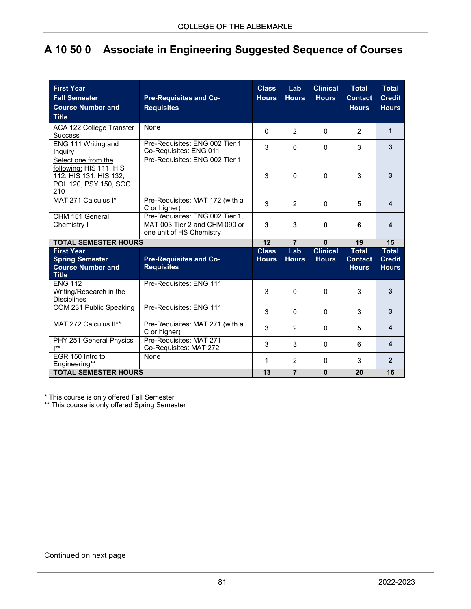## **A 10 50 0 Associate in Engineering Suggested Sequence of Courses**

| <b>First Year</b><br><b>Fall Semester</b><br><b>Course Number and</b><br><b>Title</b>                    | <b>Pre-Requisites and Co-</b><br><b>Requisites</b>                                           | <b>Class</b><br><b>Hours</b> | Lab<br><b>Hours</b> | <b>Clinical</b><br><b>Hours</b> | <b>Total</b><br><b>Contact</b><br><b>Hours</b> | <b>Total</b><br><b>Credit</b><br><b>Hours</b> |
|----------------------------------------------------------------------------------------------------------|----------------------------------------------------------------------------------------------|------------------------------|---------------------|---------------------------------|------------------------------------------------|-----------------------------------------------|
| ACA 122 College Transfer<br><b>Success</b>                                                               | None                                                                                         | $\mathbf{0}$                 | $\overline{2}$      | 0                               | $\overline{2}$                                 | $\mathbf{1}$                                  |
| ENG 111 Writing and<br>Inquiry                                                                           | Pre-Requisites: ENG 002 Tier 1<br>Co-Requisites: ENG 011                                     | 3                            | $\Omega$            | 0                               | 3                                              | 3                                             |
| Select one from the<br>following: HIS 111, HIS<br>112, HIS 131, HIS 132,<br>POL 120, PSY 150, SOC<br>210 | Pre-Requisites: ENG 002 Tier 1                                                               | 3                            | $\Omega$            | 0                               | 3                                              | 3                                             |
| MAT 271 Calculus I*                                                                                      | Pre-Requisites: MAT 172 (with a<br>C or higher)                                              | 3                            | $\overline{2}$      | 0                               | 5                                              | 4                                             |
| CHM 151 General<br>Chemistry I                                                                           | Pre-Requisites: ENG 002 Tier 1,<br>MAT 003 Tier 2 and CHM 090 or<br>one unit of HS Chemistry | 3                            | 3                   | 0                               | 6                                              | 4                                             |
| <b>TOTAL SEMESTER HOURS</b>                                                                              |                                                                                              |                              | $\overline{7}$      | Ō                               | 19                                             | 15                                            |
| <b>First Year</b><br><b>Spring Semester</b><br><b>Course Number and</b><br><b>Title</b>                  | <b>Pre-Requisites and Co-</b><br><b>Requisites</b>                                           | <b>Class</b><br><b>Hours</b> | Lab<br><b>Hours</b> | <b>Clinical</b><br><b>Hours</b> | <b>Total</b><br><b>Contact</b><br><b>Hours</b> | <b>Total</b><br><b>Credit</b><br><b>Hours</b> |
| <b>ENG 112</b><br>Writing/Research in the<br><b>Disciplines</b>                                          | Pre-Requisites: ENG 111                                                                      | 3                            | $\Omega$            | 0                               | 3                                              | 3                                             |
| COM 231 Public Speaking                                                                                  | Pre-Requisites: ENG 111                                                                      | 3                            | $\Omega$            | 0                               | 3                                              | 3                                             |
| MAT 272 Calculus II**                                                                                    | Pre-Requisites: MAT 271 (with a<br>C or higher)                                              | 3                            | $\overline{2}$      | 0                               | 5                                              | $\overline{\mathbf{4}}$                       |
| PHY 251 General Physics<br>$\mathsf{I}^{**}$                                                             | Pre-Requisites: MAT 271<br>Co-Requisites: MAT 272                                            | 3                            | 3                   | 0                               | 6                                              | 4                                             |
| FGR 150 Intro to<br>Engineering**                                                                        | None                                                                                         | 1<br>$\overline{13}$         | 2                   | 0                               | 3                                              | $\overline{2}$                                |
| <b>TOTAL SEMESTER HOURS</b>                                                                              |                                                                                              |                              | $\overline{7}$      | $\mathbf{0}$                    | 20                                             | 16                                            |

\* This course is only offered Fall Semester

\*\* This course is only offered Spring Semester